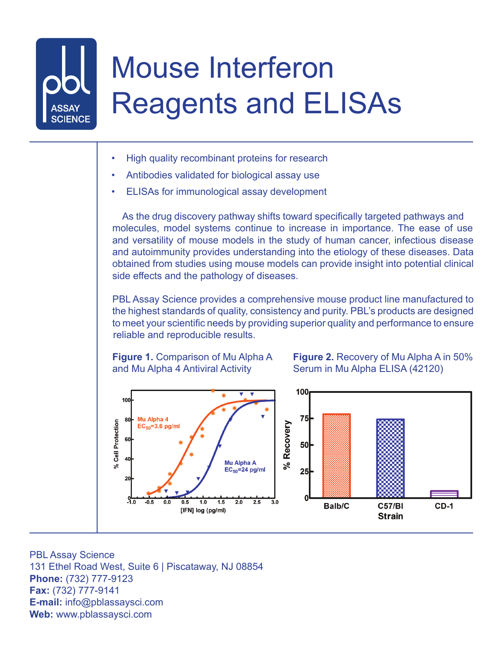## Mouse Interferon Reagents and ELISAs

- High quality recombinant proteins for research
- Antibodies validated for biological assay use
- ELISAs for immunological assay development

As the drug discovery pathway shifts toward specifically targeted pathways and molecules, model systems continue to increase in importance. The ease of use and versatility of mouse models in the study of human cancer, infectious disease and autoimmunity provides understanding into the etiology of these diseases. Data obtained from studies using mouse models can provide insight into potential clinical side effects and the pathology of diseases.

PBL Assay Science provides a comprehensive mouse product line manufactured to the highest standards of quality, consistency and purity. PBL's products are designed to meet your scientific needs by providing superior quality and performance to ensure reliable and reproducible results.



**Figure 2.** Recovery of Mu Alpha A in 50% Serum in Mu Alpha ELISA (42120)



PBL Assay Science 131 Ethel Road West, Suite 6 | Piscataway, NJ 08854 **Phone:** (732) 777-9123 **Fax:** (732) 777-9141 **E-mail:** info@pblassaysci.com **Web:** www.pblassaysci.com